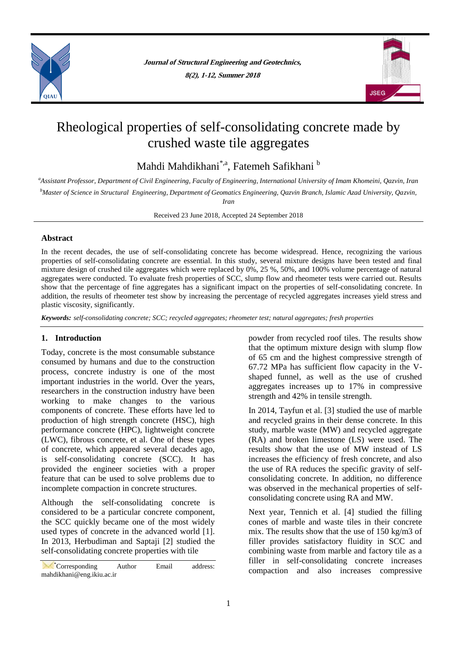

**Journal of Structural Engineering and Geotechnics, 8(2), 1-12, Summer 2018**



# Rheological properties of self-consolidating concrete made by crushed waste tile aggregates

Mahdi Mahdikhani<sup>\*,a</sup>, Fatemeh Safikhani b

*<sup>a</sup>Assistant Professor, Department of Civil Engineering, Faculty of Engineering, International University of Imam Khomeini, Qazvin, Iran <sup>b</sup>Master of Science in Structural Engineering, Department of Geomatics Engineering, Qazvin Branch, Islamic Azad University, Qazvin, Iran*

Received 23 June 2018, Accepted 24 September 2018

## **Abstract**

In the recent decades, the use of self-consolidating concrete has become widespread. Hence, recognizing the various properties of self-consolidating concrete are essential. In this study, several mixture designs have been tested and final mixture design of crushed tile aggregates which were replaced by 0%, 25 %, 50%, and 100% volume percentage of natural aggregates were conducted. To evaluate fresh properties of SCC, slump flow and rheometer tests were carried out. Results show that the percentage of fine aggregates has a significant impact on the properties of self-consolidating concrete. In addition, the results of rheometer test show by increasing the percentage of recycled aggregates increases yield stress and plastic viscosity, significantly.

*Keywords: self-consolidating concrete; SCC; recycled aggregates; rheometer test; natural aggregates; fresh properties*

# **1. Introduction**

Today, concrete is the most consumable substance consumed by humans and due to the construction process, concrete industry is one of the most important industries in the world. Over the years, researchers in the construction industry have been working to make changes to the various components of concrete. These efforts have led to production of high strength concrete (HSC), high performance concrete (HPC), lightweight concrete (LWC), fibrous concrete, et al. One of these types of concrete, which appeared several decades ago, is self-consolidating concrete (SCC). It has provided the engineer societies with a proper feature that can be used to solve problems due to incomplete compaction in concrete structures.

Although the self-consolidating concrete is considered to be a particular concrete component, the SCC quickly became one of the most widely used types of concrete in the advanced world [1]. In 2013, Herbudiman and Saptaji [2] studied the self-consolidating concrete properties with tile

powder from recycled roof tiles. The results show that the optimum mixture design with slump flow of 65 cm and the highest compressive strength of 67.72 MPa has sufficient flow capacity in the Vshaped funnel, as well as the use of crushed aggregates increases up to 17% in compressive strength and 42% in tensile strength.

In 2014, Tayfun et al. [3] studied the use of marble and recycled grains in their dense concrete. In this study, marble waste (MW) and recycled aggregate (RA) and broken limestone (LS) were used. The results show that the use of MW instead of LS increases the efficiency of fresh concrete, and also the use of RA reduces the specific gravity of selfconsolidating concrete. In addition, no difference was observed in the mechanical properties of selfconsolidating concrete using RA and MW.

Next year, Tennich et al. [4] studied the filling cones of marble and waste tiles in their concrete mix. The results show that the use of 150 kg/m3 of filler provides satisfactory fluidity in SCC and combining waste from marble and factory tile as a filler in self-consolidating concrete increases compaction and also increases compressive

<sup>\*</sup>Corresponding Author Email address: mahdikhani@eng.ikiu.ac.ir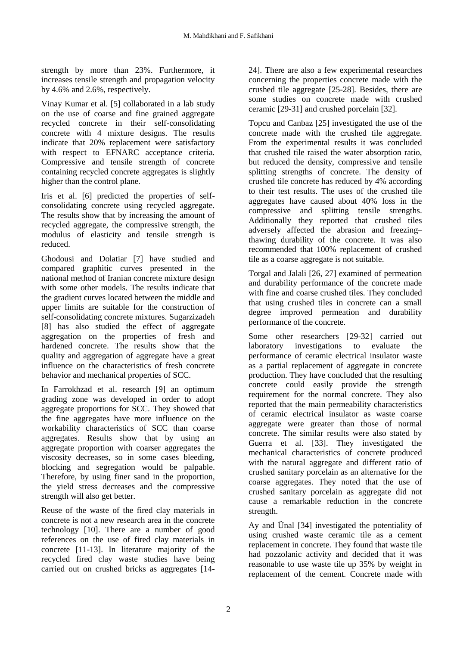strength by more than 23%. Furthermore, it increases tensile strength and propagation velocity by 4.6% and 2.6%, respectively.

Vinay Kumar et al. [5] collaborated in a lab study on the use of coarse and fine grained aggregate recycled concrete in their self-consolidating concrete with 4 mixture designs. The results indicate that 20% replacement were satisfactory with respect to EFNARC acceptance criteria. Compressive and tensile strength of concrete containing recycled concrete aggregates is slightly higher than the control plane.

Iris et al. [6] predicted the properties of selfconsolidating concrete using recycled aggregate. The results show that by increasing the amount of recycled aggregate, the compressive strength, the modulus of elasticity and tensile strength is reduced.

Ghodousi and Dolatiar [7] have studied and compared graphitic curves presented in the national method of Iranian concrete mixture design with some other models. The results indicate that the gradient curves located between the middle and upper limits are suitable for the construction of self-consolidating concrete mixtures. Sugarzizadeh [8] has also studied the effect of aggregate aggregation on the properties of fresh and hardened concrete. The results show that the quality and aggregation of aggregate have a great influence on the characteristics of fresh concrete behavior and mechanical properties of SCC.

In Farrokhzad et al. research [9] an optimum grading zone was developed in order to adopt aggregate proportions for SCC. They showed that the fine aggregates have more influence on the workability characteristics of SCC than coarse aggregates. Results show that by using an aggregate proportion with coarser aggregates the viscosity decreases, so in some cases bleeding, blocking and segregation would be palpable. Therefore, by using finer sand in the proportion, the yield stress decreases and the compressive strength will also get better.

Reuse of the waste of the fired clay materials in concrete is not a new research area in the concrete technology [10]. There are a number of good references on the use of fired clay materials in concrete [11-13]. In literature majority of the recycled fired clay waste studies have being carried out on crushed bricks as aggregates [1424]. There are also a few experimental researches concerning the properties concrete made with the crushed tile aggregate [25-28]. Besides, there are some studies on concrete made with crushed ceramic [29-31] and crushed porcelain [32].

Topcu and Canbaz [25] investigated the use of the concrete made with the crushed tile aggregate. From the experimental results it was concluded that crushed tile raised the water absorption ratio, but reduced the density, compressive and tensile splitting strengths of concrete. The density of crushed tile concrete has reduced by 4% according to their test results. The uses of the crushed tile aggregates have caused about 40% loss in the compressive and splitting tensile strengths. Additionally they reported that crushed tiles adversely affected the abrasion and freezing– thawing durability of the concrete. It was also recommended that 100% replacement of crushed tile as a coarse aggregate is not suitable.

Torgal and Jalali [26, 27] examined of permeation and durability performance of the concrete made with fine and coarse crushed tiles. They concluded that using crushed tiles in concrete can a small degree improved permeation and durability performance of the concrete.

Some other researchers [29-32] carried out laboratory investigations to evaluate the performance of ceramic electrical insulator waste as a partial replacement of aggregate in concrete production. They have concluded that the resulting concrete could easily provide the strength requirement for the normal concrete. They also reported that the main permeability characteristics of ceramic electrical insulator as waste coarse aggregate were greater than those of normal concrete. The similar results were also stated by Guerra et al. [33]. They investigated the mechanical characteristics of concrete produced with the natural aggregate and different ratio of crushed sanitary porcelain as an alternative for the coarse aggregates. They noted that the use of crushed sanitary porcelain as aggregate did not cause a remarkable reduction in the concrete strength.

Ay and Ünal [34] investigated the potentiality of using crushed waste ceramic tile as a cement replacement in concrete. They found that waste tile had pozzolanic activity and decided that it was reasonable to use waste tile up 35% by weight in replacement of the cement. Concrete made with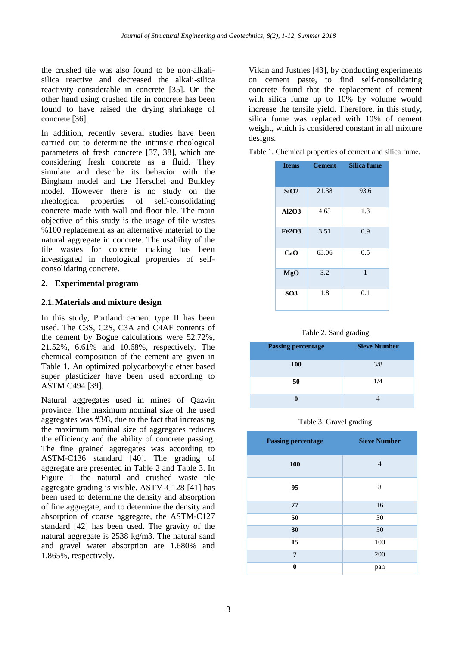the crushed tile was also found to be non-alkalisilica reactive and decreased the alkali-silica reactivity considerable in concrete [35]. On the other hand using crushed tile in concrete has been found to have raised the drying shrinkage of concrete [36].

In addition, recently several studies have been carried out to determine the intrinsic rheological parameters of fresh concrete [37, 38], which are considering fresh concrete as a fluid. They simulate and describe its behavior with the Bingham model and the Herschel and Bulkley model. However there is no study on the rheological properties of self-consolidating concrete made with wall and floor tile. The main objective of this study is the usage of tile wastes %100 replacement as an alternative material to the natural aggregate in concrete. The usability of the tile wastes for concrete making has been investigated in rheological properties of selfconsolidating concrete.

# **2. Experimental program**

## **2.1.Materials and mixture design**

In this study, Portland cement type II has been used. The C3S, C2S, C3A and C4AF contents of the cement by Bogue calculations were 52.72%, 21.52%, 6.61% and 10.68%, respectively. The chemical composition of the cement are given in Table 1. An optimized polycarboxylic ether based super plasticizer have been used according to ASTM C494 [39].

Natural aggregates used in mines of Qazvin province. The maximum nominal size of the used aggregates was #3/8, due to the fact that increasing the maximum nominal size of aggregates reduces the efficiency and the ability of concrete passing. The fine grained aggregates was according to ASTM-C136 standard [40]. The grading of aggregate are presented in Table 2 and Table 3. In Figure 1 the natural and crushed waste tile aggregate grading is visible. ASTM-C128 [41] has been used to determine the density and absorption of fine aggregate, and to determine the density and absorption of coarse aggregate, the ASTM-C127 standard [42] has been used. The gravity of the natural aggregate is 2538 kg/m3. The natural sand and gravel water absorption are 1.680% and 1.865%, respectively.

Vikan and Justnes [43], by conducting experiments on cement paste, to find self-consolidating concrete found that the replacement of cement with silica fume up to 10% by volume would increase the tensile yield. Therefore, in this study, silica fume was replaced with 10% of cement weight, which is considered constant in all mixture designs.

|  | Table 1. Chemical properties of cement and silica fume. |  |
|--|---------------------------------------------------------|--|
|  |                                                         |  |

| <b>Items</b>    | <b>Cement</b> | <b>Silica fume</b> |
|-----------------|---------------|--------------------|
| SiO2            | 21.38         | 93.6               |
| AI2O3           | 4.65          | 1.3                |
| <b>Fe2O3</b>    | 3.51          | 0.9                |
| CaO             | 63.06         | 0.5                |
| MgO             | 3.2           | $\mathbf{1}$       |
| SO <sub>3</sub> | 1.8           | 0.1                |

Table 2. Sand grading

| <b>Passing percentage</b> | <b>Sieve Number</b> |
|---------------------------|---------------------|
| <b>100</b>                | 3/8                 |
| 50                        | 1/4                 |
|                           |                     |

Table 3. Gravel grading

| <b>Passing percentage</b> | <b>Sieve Number</b> |  |  |  |
|---------------------------|---------------------|--|--|--|
| 100                       | 4                   |  |  |  |
| 95                        | 8                   |  |  |  |
| 77                        | 16                  |  |  |  |
| 50                        | 30                  |  |  |  |
| 30                        | 50                  |  |  |  |
| 15                        | 100                 |  |  |  |
| $\overline{7}$            | 200                 |  |  |  |
| $\bf{0}$                  | pan                 |  |  |  |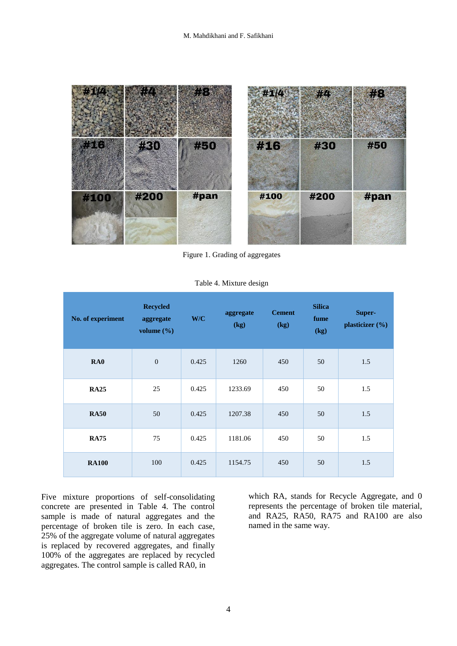

Figure 1. Grading of aggregates

| No. of experiment | <b>Recycled</b><br>aggregate<br>volume $(\% )$ | W/C   | aggregate<br>(kg) | <b>Cement</b><br>(kg) | <b>Silica</b><br>fume<br>(kg) | Super-<br>plasticizer (%) |
|-------------------|------------------------------------------------|-------|-------------------|-----------------------|-------------------------------|---------------------------|
| RA0               | $\boldsymbol{0}$                               | 0.425 | 1260              | 450                   | 50                            | 1.5                       |
| <b>RA25</b>       | 25                                             | 0.425 | 1233.69           | 450                   | 50                            | 1.5                       |
| <b>RA50</b>       | 50                                             | 0.425 | 1207.38           | 450                   | 50                            | 1.5                       |
| <b>RA75</b>       | 75                                             | 0.425 | 1181.06           | 450                   | 50                            | 1.5                       |
| <b>RA100</b>      | 100                                            | 0.425 | 1154.75           | 450                   | 50                            | 1.5                       |

Table 4. Mixture design

Five mixture proportions of self-consolidating concrete are presented in Table 4. The control sample is made of natural aggregates and the percentage of broken tile is zero. In each case, 25% of the aggregate volume of natural aggregates is replaced by recovered aggregates, and finally 100% of the aggregates are replaced by recycled aggregates. The control sample is called RA0, in

which RA, stands for Recycle Aggregate, and 0 represents the percentage of broken tile material, and RA25, RA50, RA75 and RA100 are also named in the same way.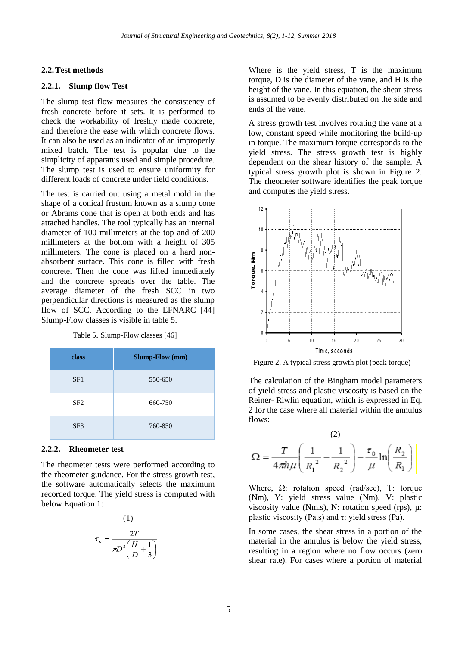#### **2.2.Test methods**

## **2.2.1. Slump flow Test**

The slump test flow measures the consistency of fresh concrete before it sets. It is performed to check the workability of freshly made concrete, and therefore the ease with which concrete flows. It can also be used as an indicator of an improperly mixed batch. The test is popular due to the simplicity of apparatus used and simple procedure. The slump test is used to ensure uniformity for different loads of concrete under field conditions.

The test is carried out using a metal mold in the shape of a conical frustum known as a slump cone or Abrams cone that is open at both ends and has attached handles. The tool typically has an internal diameter of 100 millimeters at the top and of 200 millimeters at the bottom with a height of 305 millimeters. The cone is placed on a hard nonabsorbent surface. This cone is filled with fresh concrete. Then the cone was lifted immediately and the concrete spreads over the table. The average diameter of the fresh SCC in two perpendicular directions is measured as the slump flow of SCC. According to the EFNARC [44] Slump-Flow classes is visible in table 5.

Table 5. Slump-Flow classes [46]

| class           | <b>Slump-Flow</b> (mm) |
|-----------------|------------------------|
| SF1             | 550-650                |
| SF <sub>2</sub> | 660-750                |
| SF <sub>3</sub> | 760-850                |

#### **2.2.2. Rheometer test**

The rheometer tests were performed according to the rheometer guidance. For the stress growth test, the software automatically selects the maximum recorded torque. The yield stress is computed with below Equation 1:

$$
\tau_o = \frac{2T}{\pi D^3 \left(\frac{H}{D} + \frac{1}{3}\right)}
$$

Where is the yield stress, T is the maximum torque, D is the diameter of the vane, and H is the height of the vane. In this equation, the shear stress is assumed to be evenly distributed on the side and ends of the vane.

A stress growth test involves rotating the vane at a low, constant speed while monitoring the build-up in torque. The maximum torque corresponds to the yield stress. The stress growth test is highly dependent on the shear history of the sample. A typical stress growth plot is shown in Figure 2. The rheometer software identifies the peak torque and computes the yield stress.



Figure 2. A typical stress growth plot (peak torque)

The calculation of the Bingham model parameters of yield stress and plastic viscosity is based on the Reiner- Riwlin equation, which is expressed in Eq. 2 for the case where all material within the annulus flows:

$$
\Omega = \frac{T}{4\pi h\mu} \left( \frac{1}{R_1^2} - \frac{1}{R_2^2} \right) - \frac{\tau_0}{\mu} \ln \left( \frac{R_2}{R_1} \right)
$$

Where,  $\Omega$ : rotation speed (rad/sec), T: torque (Nm), Y: yield stress value (Nm), V: plastic viscosity value (Nm.s), N: rotation speed (rps),  $\mu$ : plastic viscosity (Pa.s) and  $\tau$ : yield stress (Pa).

In some cases, the shear stress in a portion of the material in the annulus is below the yield stress, resulting in a region where no flow occurs (zero shear rate). For cases where a portion of material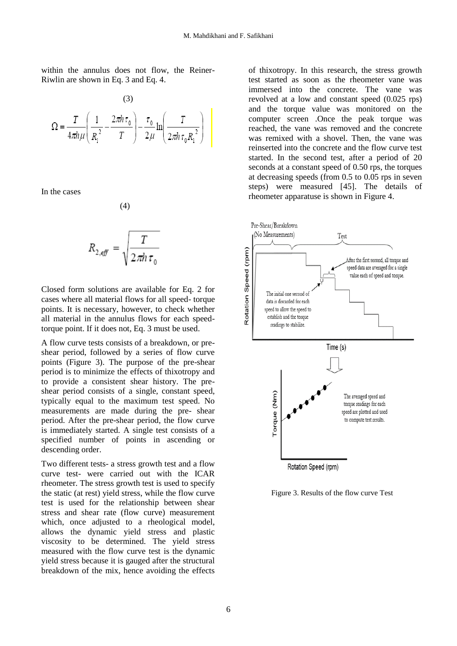within the annulus does not flow, the Reiner-Riwlin are shown in Eq. 3 and Eq. 4.



In the cases

$$
R_{2,\text{eff}} = \sqrt{\frac{T}{2\pi h\,\tau_0}}
$$

(4)

Closed form solutions are available for Eq. 2 for cases where all material flows for all speed- torque points. It is necessary, however, to check whether all material in the annulus flows for each speedtorque point. If it does not, Eq. 3 must be used.

A flow curve tests consists of a breakdown, or preshear period, followed by a series of flow curve points (Figure 3). The purpose of the pre-shear period is to minimize the effects of thixotropy and to provide a consistent shear history. The preshear period consists of a single, constant speed, typically equal to the maximum test speed. No measurements are made during the pre- shear period. After the pre-shear period, the flow curve is immediately started. A single test consists of a specified number of points in ascending or descending order.

Two different tests- a stress growth test and a flow curve test- were carried out with the ICAR rheometer. The stress growth test is used to specify the static (at rest) yield stress, while the flow curve test is used for the relationship between shear stress and shear rate (flow curve) measurement which, once adjusted to a rheological model, allows the dynamic yield stress and plastic viscosity to be determined. The yield stress measured with the flow curve test is the dynamic yield stress because it is gauged after the structural breakdown of the mix, hence avoiding the effects

of thixotropy. In this research, the stress growth test started as soon as the rheometer vane was immersed into the concrete. The vane was revolved at a low and constant speed  $(0.025 \text{ ms})$ and the torque value was monitored on the computer screen .Once the peak torque was reached, the vane was removed and the concrete was remixed with a shovel. Then, the vane was reinserted into the concrete and the flow curve test started. In the second test, after a period of 20 seconds at a constant speed of 0.50 rps, the torques at decreasing speeds (from 0.5 to 0.05 rps in seven steps) were measured [45]. The details of rheometer apparatuse is shown in Figure 4.



Figure 3. Results of the flow curve Test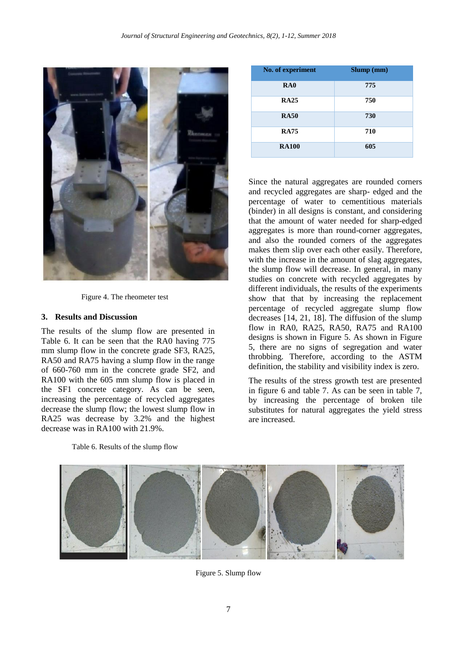

Figure 4. The rheometer test

### **3. Results and Discussion**

The results of the slump flow are presented in Table 6. It can be seen that the RA0 having 775 mm slump flow in the concrete grade SF3, RA25. RA50 and RA75 having a slump flow in the range of 660-760 mm in the concrete grade SF2, and RA100 with the 605 mm slump flow is placed in the SF1 concrete category. As can be seen, increasing the percentage of recycled aggregates decrease the slump flow; the lowest slump flow in RA25 was decrease by 3.2% and the highest decrease was in RA100 with 21.9%.

| <b>RA25</b>  | 750 |
|--------------|-----|
| <b>RA50</b>  | 730 |
| <b>RA75</b>  | 710 |
| <b>RA100</b> | 605 |
|              |     |

**No. of experiment Slump (mm) RA0 775**

Since the natural aggregates are rounded corners and recycled aggregates are sharp- edged and the percentage of water to cementitious materials (binder) in all designs is constant, and considering that the amount of water needed for sharp-edged aggregates is more than round-corner aggregates, and also the rounded corners of the aggregates makes them slip over each other easily. Therefore, with the increase in the amount of slag aggregates, the slump flow will decrease. In general, in many studies on concrete with recycled aggregates by different individuals, the results of the experiments show that that by increasing the replacement percentage of recycled aggregate slump flow decreases [14, 21, 18]. The diffusion of the slump flow in RA0, RA25, RA50, RA75 and RA100 designs is shown in Figure 5. As shown in Figure 5, there are no signs of segregation and water throbbing. Therefore, according to the ASTM definition, the stability and visibility index is zero.

The results of the stress growth test are presented in figure 6 and table 7. As can be seen in table 7, by increasing the percentage of broken tile substitutes for natural aggregates the yield stress are increased.



Table 6. Results of the slump flow

Figure 5. Slump flow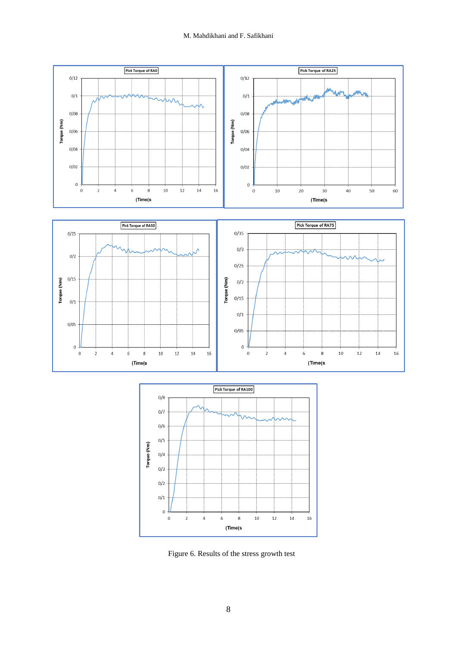



Figure 6. Results of the stress growth test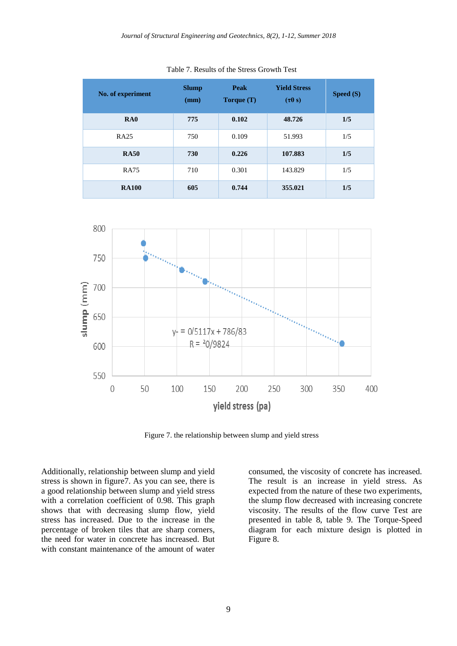| No. of experiment | <b>Slump</b><br>(mm) | Peak<br>Torque $(T)$ | <b>Yield Stress</b><br>$(\tau 0 s)$ | Speed (S) |  |
|-------------------|----------------------|----------------------|-------------------------------------|-----------|--|
| RA0               | 775                  | 0.102                | 48.726                              | 1/5       |  |
| <b>RA25</b>       | 750                  | 0.109                | 51.993                              | 1/5       |  |
| <b>RA50</b>       | 730                  | 0.226                | 107.883                             | 1/5       |  |
| <b>RA75</b>       | 710                  | 0.301                | 143.829                             | 1/5       |  |
| <b>RA100</b>      | 605                  | 0.744                | 355.021                             | 1/5       |  |

Table 7. Results of the Stress Growth Test



Figure 7. the relationship between slump and yield stress

Additionally, relationship between slump and yield stress is shown in figure7. As you can see, there is a good relationship between slump and yield stress with a correlation coefficient of 0.98. This graph shows that with decreasing slump flow, yield stress has increased. Due to the increase in the percentage of broken tiles that are sharp corners, the need for water in concrete has increased. But with constant maintenance of the amount of water

consumed, the viscosity of concrete has increased. The result is an increase in yield stress. As expected from the nature of these two experiments, the slump flow decreased with increasing concrete viscosity. The results of the flow curve Test are presented in table 8, table 9. The Torque-Speed diagram for each mixture design is plotted in Figure 8.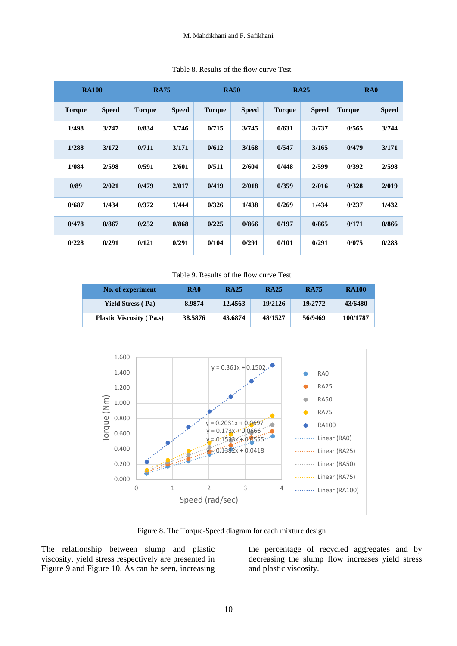|               | <b>RA100</b> |               | <b>RA75</b>  | <b>RA50</b>   |              | <b>RA25</b>   |              | R <sub>A0</sub> |              |
|---------------|--------------|---------------|--------------|---------------|--------------|---------------|--------------|-----------------|--------------|
| <b>Torque</b> | <b>Speed</b> | <b>Torque</b> | <b>Speed</b> | <b>Torque</b> | <b>Speed</b> | <b>Torque</b> | <b>Speed</b> | <b>Torque</b>   | <b>Speed</b> |
| 1/498         | 3/747        | 0/834         | 3/746        | 0/715         | 3/745        | 0/631         | 3/737        | 0/565           | 3/744        |
| 1/288         | 3/172        | 0/711         | 3/171        | 0/612         | 3/168        | 0/547         | 3/165        | 0/479           | 3/171        |
| 1/084         | 2/598        | 0/591         | 2/601        | 0/511         | 2/604        | 0/448         | 2/599        | 0/392           | 2/598        |
| 0/89          | 2/021        | 0/479         | 2/017        | 0/419         | 2/018        | 0/359         | 2/016        | 0/328           | 2/019        |
| 0/687         | 1/434        | 0/372         | 1/444        | 0/326         | 1/438        | 0/269         | 1/434        | 0/237           | 1/432        |
| 0/478         | 0/867        | 0/252         | 0/868        | 0/225         | 0/866        | 0/197         | 0/865        | 0/171           | 0/866        |
| 0/228         | 0/291        | 0/121         | 0/291        | 0/104         | 0/291        | 0/101         | 0/291        | 0/075           | 0/283        |

#### Table 8. Results of the flow curve Test

Table 9. Results of the flow curve Test

| No. of experiment               | RA <sub>0</sub> | <b>RA25</b> | <b>RA25</b> | <b>RA75</b> | <b>RA100</b> |
|---------------------------------|-----------------|-------------|-------------|-------------|--------------|
| <b>Yield Stress (Pa)</b>        | 8.9874          | 12.4563     | 19/2126     | 19/2772     | 43/6480      |
| <b>Plastic Viscosity (Pa.s)</b> | 38.5876         | 43.6874     | 48/1527     | 56/9469     | 100/1787     |



Figure 8. The Torque-Speed diagram for each mixture design

The relationship between slump and plastic viscosity, yield stress respectively are presented in Figure 9 and Figure 10. As can be seen, increasing the percentage of recycled aggregates and by decreasing the slump flow increases yield stress and plastic viscosity.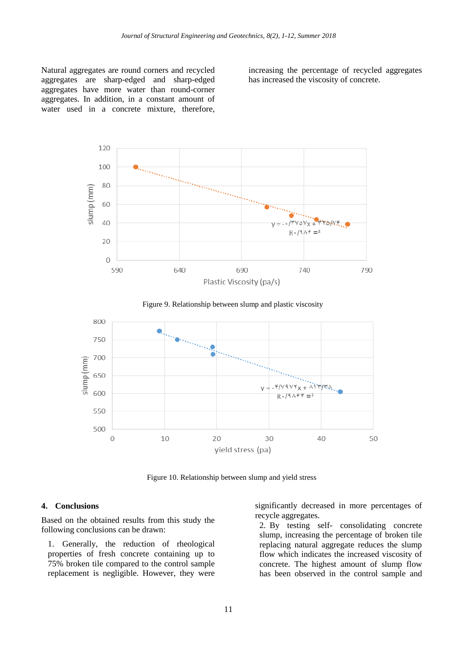Natural aggregates are round corners and recycled aggregates are sharp-edged and sharp-edged aggregates have more water than round-corner aggregates. In addition, in a constant amount of water used in a concrete mixture, therefore,

increasing the percentage of recycled aggregates has increased the viscosity of concrete.







Figure 10. Relationship between slump and yield stress

#### **4. Conclusions**

Based on the obtained results from this study the following conclusions can be drawn:

1. Generally, the reduction of rheological properties of fresh concrete containing up to 75% broken tile compared to the control sample replacement is negligible. However, they were

significantly decreased in more percentages of recycle aggregates.

2. By testing self- consolidating concrete slump, increasing the percentage of broken tile replacing natural aggregate reduces the slump flow which indicates the increased viscosity of concrete. The highest amount of slump flow has been observed in the control sample and